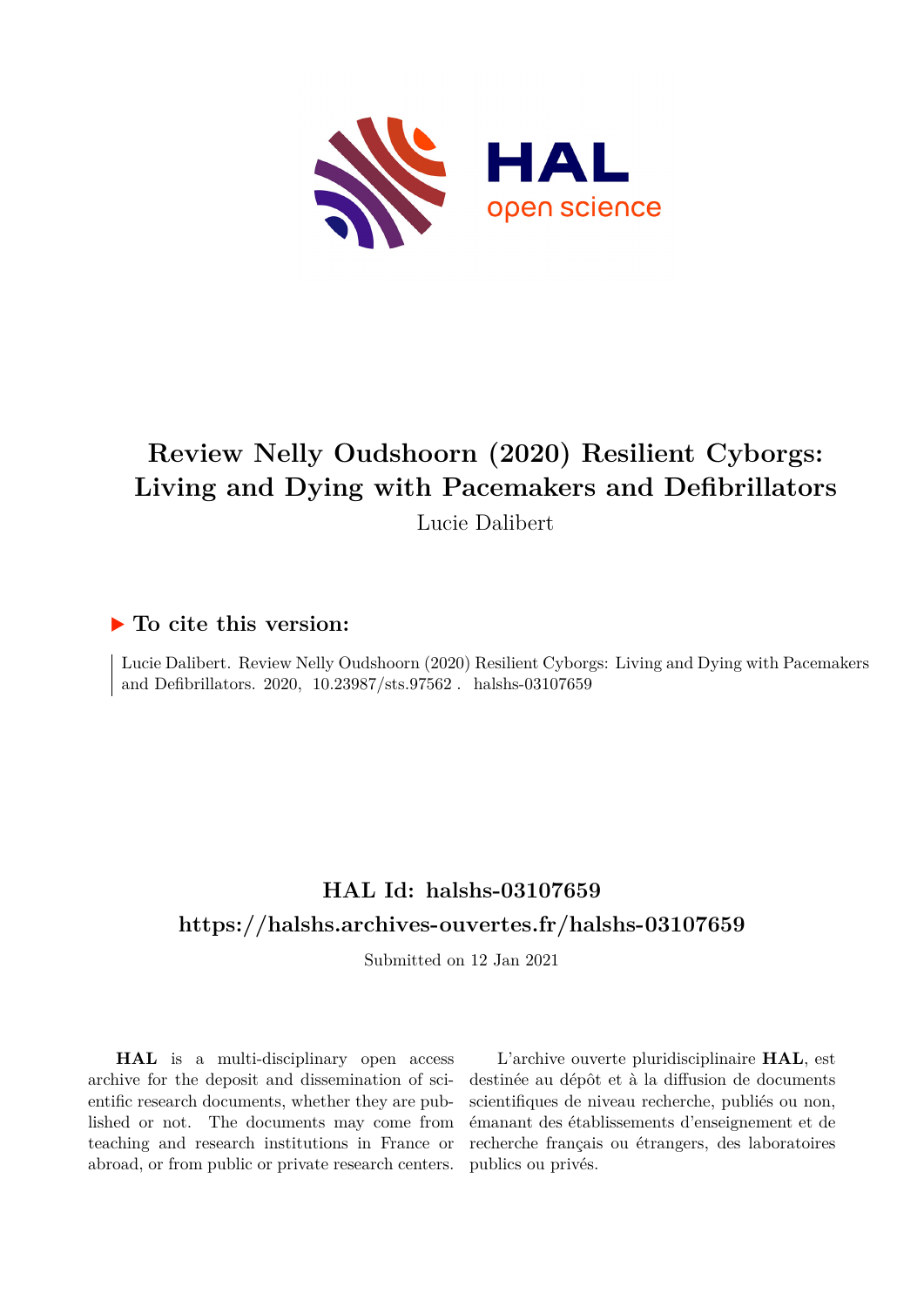

# **Review Nelly Oudshoorn (2020) Resilient Cyborgs: Living and Dying with Pacemakers and Defibrillators** Lucie Dalibert

### **To cite this version:**

Lucie Dalibert. Review Nelly Oudshoorn (2020) Resilient Cyborgs: Living and Dying with Pacemakers and Defibrillators. 2020,  $10.23987/\text{sts}.97562$ . halshs-03107659

## **HAL Id: halshs-03107659 <https://halshs.archives-ouvertes.fr/halshs-03107659>**

Submitted on 12 Jan 2021

**HAL** is a multi-disciplinary open access archive for the deposit and dissemination of scientific research documents, whether they are published or not. The documents may come from teaching and research institutions in France or abroad, or from public or private research centers.

L'archive ouverte pluridisciplinaire **HAL**, est destinée au dépôt et à la diffusion de documents scientifiques de niveau recherche, publiés ou non, émanant des établissements d'enseignement et de recherche français ou étrangers, des laboratoires publics ou privés.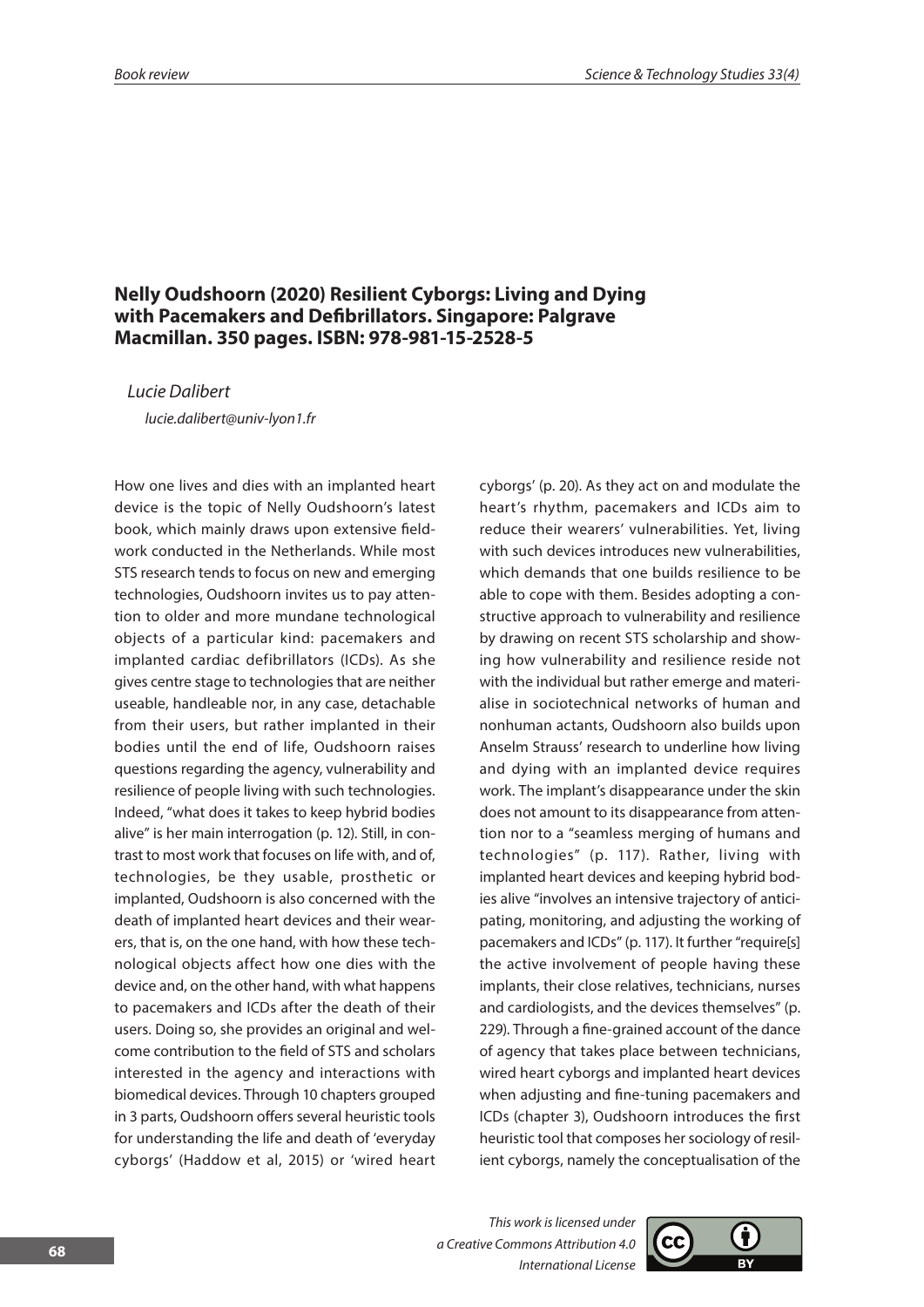### **Nelly Oudshoorn (2020) Resilient Cyborgs: Living and Dying with Pacemakers and Defibrillators. Singapore: Palgrave Macmillan. 350 pages. ISBN: 978-981-15-2528-5**

*Lucie Dalibert*

*lucie.dalibert@univ-lyon1.fr* 

How one lives and dies with an implanted heart device is the topic of Nelly Oudshoorn's latest book, which mainly draws upon extensive fieldwork conducted in the Netherlands. While most STS research tends to focus on new and emerging technologies, Oudshoorn invites us to pay attention to older and more mundane technological objects of a particular kind: pacemakers and implanted cardiac defibrillators (ICDs). As she gives centre stage to technologies that are neither useable, handleable nor, in any case, detachable from their users, but rather implanted in their bodies until the end of life, Oudshoorn raises questions regarding the agency, vulnerability and resilience of people living with such technologies. Indeed, "what does it takes to keep hybrid bodies alive" is her main interrogation (p. 12). Still, in contrast to most work that focuses on life with, and of, technologies, be they usable, prosthetic or implanted, Oudshoorn is also concerned with the death of implanted heart devices and their wearers, that is, on the one hand, with how these technological objects affect how one dies with the device and, on the other hand, with what happens to pacemakers and ICDs after the death of their users. Doing so, she provides an original and welcome contribution to the field of STS and scholars interested in the agency and interactions with biomedical devices. Through 10 chapters grouped in 3 parts, Oudshoorn offers several heuristic tools for understanding the life and death of 'everyday cyborgs' (Haddow et al, 2015) or 'wired heart cyborgs' (p. 20). As they act on and modulate the heart's rhythm, pacemakers and ICDs aim to reduce their wearers' vulnerabilities. Yet, living with such devices introduces new vulnerabilities, which demands that one builds resilience to be able to cope with them. Besides adopting a constructive approach to vulnerability and resilience by drawing on recent STS scholarship and showing how vulnerability and resilience reside not with the individual but rather emerge and materialise in sociotechnical networks of human and nonhuman actants, Oudshoorn also builds upon Anselm Strauss' research to underline how living and dying with an implanted device requires work. The implant's disappearance under the skin does not amount to its disappearance from attention nor to a "seamless merging of humans and technologies" (p. 117). Rather, living with implanted heart devices and keeping hybrid bodies alive "involves an intensive trajectory of anticipating, monitoring, and adjusting the working of pacemakers and ICDs" (p. 117). It further "require[s] the active involvement of people having these implants, their close relatives, technicians, nurses and cardiologists, and the devices themselves" (p. 229). Through a fine-grained account of the dance of agency that takes place between technicians, wired heart cyborgs and implanted heart devices when adjusting and fine-tuning pacemakers and ICDs (chapter 3), Oudshoorn introduces the first heuristic tool that composes her sociology of resilient cyborgs, namely the conceptualisation of the

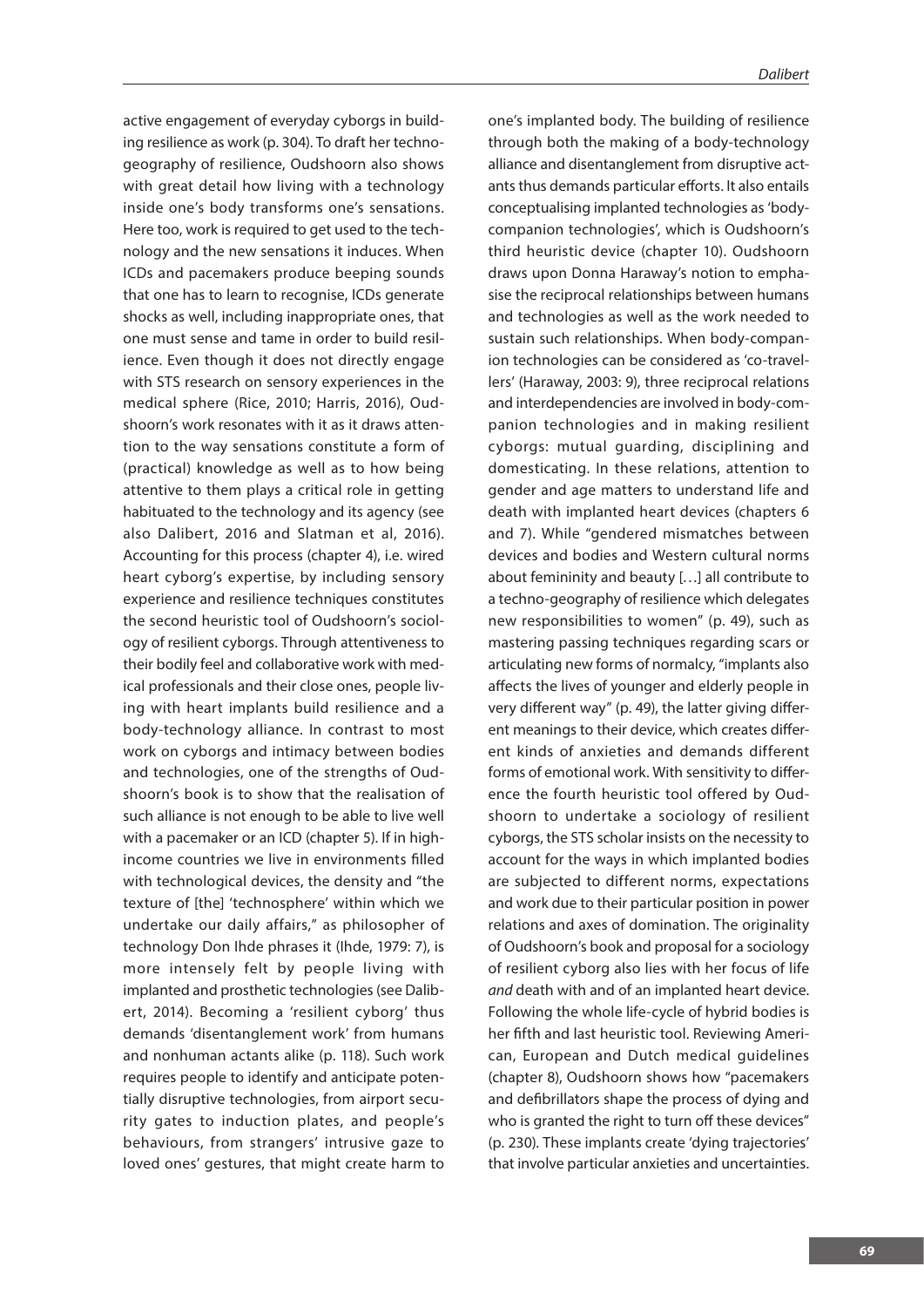active engagement of everyday cyborgs in building resilience as work (p. 304). To draft her technogeography of resilience, Oudshoorn also shows with great detail how living with a technology inside one's body transforms one's sensations. Here too, work is required to get used to the technology and the new sensations it induces. When ICDs and pacemakers produce beeping sounds that one has to learn to recognise, ICDs generate shocks as well, including inappropriate ones, that one must sense and tame in order to build resilience. Even though it does not directly engage with STS research on sensory experiences in the medical sphere (Rice, 2010; Harris, 2016), Oudshoorn's work resonates with it as it draws attention to the way sensations constitute a form of (practical) knowledge as well as to how being attentive to them plays a critical role in getting habituated to the technology and its agency (see also Dalibert, 2016 and Slatman et al, 2016). Accounting for this process (chapter 4), i.e. wired heart cyborg's expertise, by including sensory experience and resilience techniques constitutes the second heuristic tool of Oudshoorn's sociology of resilient cyborgs. Through attentiveness to their bodily feel and collaborative work with medical professionals and their close ones, people living with heart implants build resilience and a body-technology alliance. In contrast to most work on cyborgs and intimacy between bodies and technologies, one of the strengths of Oudshoorn's book is to show that the realisation of such alliance is not enough to be able to live well with a pacemaker or an ICD (chapter 5). If in highincome countries we live in environments filled with technological devices, the density and "the texture of [the] 'technosphere' within which we undertake our daily affairs," as philosopher of technology Don Ihde phrases it (Ihde, 1979: 7), is more intensely felt by people living with implanted and prosthetic technologies (see Dalibert, 2014). Becoming a 'resilient cyborg' thus demands 'disentanglement work' from humans and nonhuman actants alike (p. 118). Such work requires people to identify and anticipate potentially disruptive technologies, from airport security gates to induction plates, and people's behaviours, from strangers' intrusive gaze to loved ones' gestures, that might create harm to one's implanted body. The building of resilience through both the making of a body-technology alliance and disentanglement from disruptive actants thus demands particular efforts. It also entails conceptualising implanted technologies as 'bodycompanion technologies', which is Oudshoorn's third heuristic device (chapter 10). Oudshoorn draws upon Donna Haraway's notion to emphasise the reciprocal relationships between humans and technologies as well as the work needed to sustain such relationships. When body-companion technologies can be considered as 'co-travellers' (Haraway, 2003: 9), three reciprocal relations and interdependencies are involved in body-companion technologies and in making resilient cyborgs: mutual guarding, disciplining and domesticating. In these relations, attention to gender and age matters to understand life and death with implanted heart devices (chapters 6 and 7). While "gendered mismatches between devices and bodies and Western cultural norms about femininity and beauty […] all contribute to a techno-geography of resilience which delegates new responsibilities to women" (p. 49), such as mastering passing techniques regarding scars or articulating new forms of normalcy, "implants also affects the lives of younger and elderly people in very different way" (p. 49), the latter giving different meanings to their device, which creates different kinds of anxieties and demands different forms of emotional work. With sensitivity to difference the fourth heuristic tool offered by Oudshoorn to undertake a sociology of resilient cyborgs, the STS scholar insists on the necessity to account for the ways in which implanted bodies are subjected to different norms, expectations and work due to their particular position in power relations and axes of domination. The originality of Oudshoorn's book and proposal for a sociology of resilient cyborg also lies with her focus of life *and* death with and of an implanted heart device. Following the whole life-cycle of hybrid bodies is her fifth and last heuristic tool. Reviewing American, European and Dutch medical guidelines (chapter 8), Oudshoorn shows how "pacemakers and defibrillators shape the process of dying and who is granted the right to turn off these devices" (p. 230). These implants create 'dying trajectories' that involve particular anxieties and uncertainties.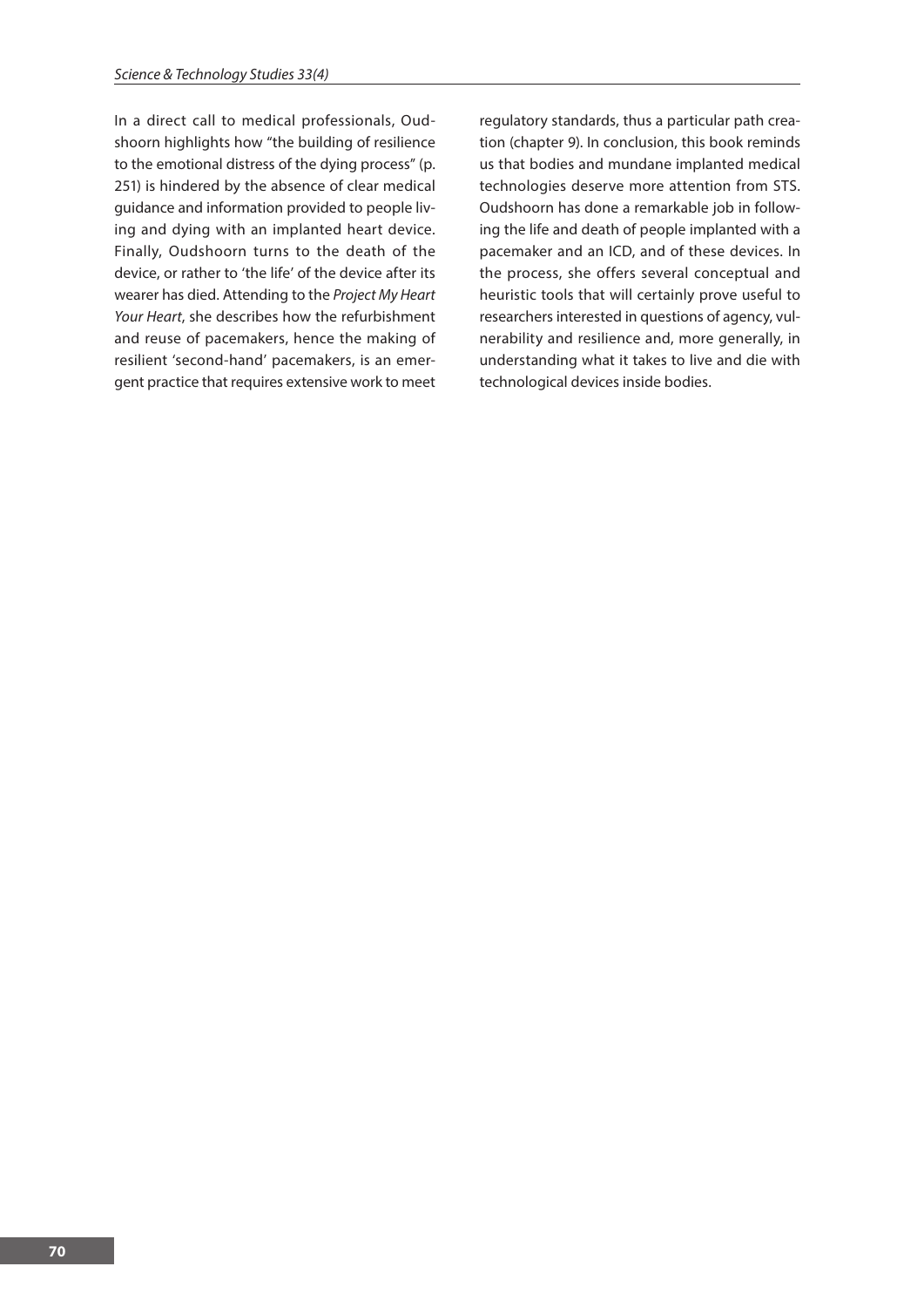In a direct call to medical professionals, Oudshoorn highlights how "the building of resilience to the emotional distress of the dying process" (p. 251) is hindered by the absence of clear medical guidance and information provided to people living and dying with an implanted heart device. Finally, Oudshoorn turns to the death of the device, or rather to 'the life' of the device after its wearer has died. Attending to the *Project My Heart Your Heart*, she describes how the refurbishment and reuse of pacemakers, hence the making of resilient 'second-hand' pacemakers, is an emergent practice that requires extensive work to meet

regulatory standards, thus a particular path creation (chapter 9). In conclusion, this book reminds us that bodies and mundane implanted medical technologies deserve more attention from STS. Oudshoorn has done a remarkable job in following the life and death of people implanted with a pacemaker and an ICD, and of these devices. In the process, she offers several conceptual and heuristic tools that will certainly prove useful to researchers interested in questions of agency, vulnerability and resilience and, more generally, in understanding what it takes to live and die with technological devices inside bodies.